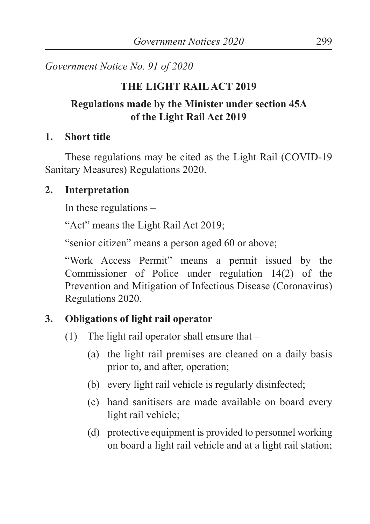*Government Notice No. 91 of 2020*

### **THE LIGHT RAIL ACT 2019**

## **Regulations made by the Minister under section 45A of the Light Rail Act 2019**

#### **1. Short title**

These regulations may be cited as the Light Rail (COVID-19 Sanitary Measures) Regulations 2020.

### **2. Interpretation**

In these regulations –

"Act" means the Light Rail Act 2019;

"senior citizen" means a person aged 60 or above;

"Work Access Permit" means a permit issued by the Commissioner of Police under regulation 14(2) of the Prevention and Mitigation of Infectious Disease (Coronavirus) Regulations 2020.

# **3. Obligations of light rail operator**

- (1) The light rail operator shall ensure that  $-$ 
	- (a) the light rail premises are cleaned on a daily basis prior to, and after, operation;
	- (b) every light rail vehicle is regularly disinfected;
	- (c) hand sanitisers are made available on board every light rail vehicle;
	- (d) protective equipment is provided to personnel working on board a light rail vehicle and at a light rail station;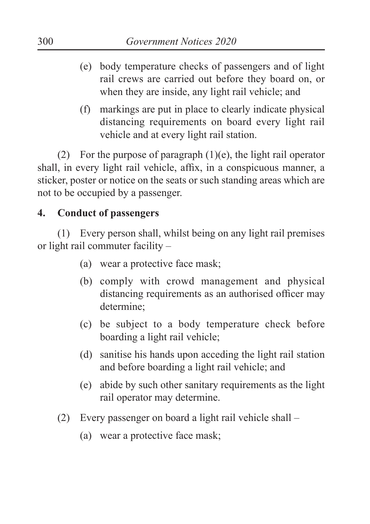- (e) body temperature checks of passengers and of light rail crews are carried out before they board on, or when they are inside, any light rail vehicle; and
- (f) markings are put in place to clearly indicate physical distancing requirements on board every light rail vehicle and at every light rail station.

(2) For the purpose of paragraph  $(1)(e)$ , the light rail operator shall, in every light rail vehicle, affix, in a conspicuous manner, a sticker, poster or notice on the seats or such standing areas which are not to be occupied by a passenger.

#### **4. Conduct of passengers**

(1) Every person shall, whilst being on any light rail premises or light rail commuter facility –

- (a) wear a protective face mask;
- (b) comply with crowd management and physical distancing requirements as an authorised officer may determine;
- (c) be subject to a body temperature check before boarding a light rail vehicle;
- (d) sanitise his hands upon acceding the light rail station and before boarding a light rail vehicle; and
- (e) abide by such other sanitary requirements as the light rail operator may determine.
- (2) Every passenger on board a light rail vehicle shall
	- (a) wear a protective face mask;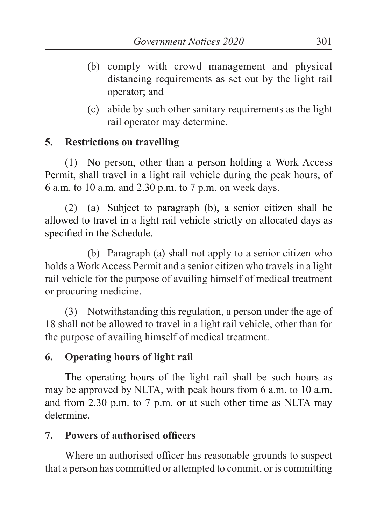- (b) comply with crowd management and physical distancing requirements as set out by the light rail operator; and
- (c) abide by such other sanitary requirements as the light rail operator may determine.

### **5. Restrictions on travelling**

(1) No person, other than a person holding a Work Access Permit, shall travel in a light rail vehicle during the peak hours, of 6 a.m. to 10 a.m. and 2.30 p.m. to 7 p.m. on week days.

(2) (a) Subject to paragraph (b), a senior citizen shall be allowed to travel in a light rail vehicle strictly on allocated days as specified in the Schedule.

(b) Paragraph (a) shall not apply to a senior citizen who holds a Work Access Permit and a senior citizen who travels in a light rail vehicle for the purpose of availing himself of medical treatment or procuring medicine.

(3) Notwithstanding this regulation, a person under the age of 18 shall not be allowed to travel in a light rail vehicle, other than for the purpose of availing himself of medical treatment.

# **6. Operating hours of light rail**

The operating hours of the light rail shall be such hours as may be approved by NLTA, with peak hours from 6 a.m. to 10 a.m. and from 2.30 p.m. to 7 p.m. or at such other time as NLTA may determine.

# **7. Powers of authorised officers**

Where an authorised officer has reasonable grounds to suspect that a person has committed or attempted to commit, or is committing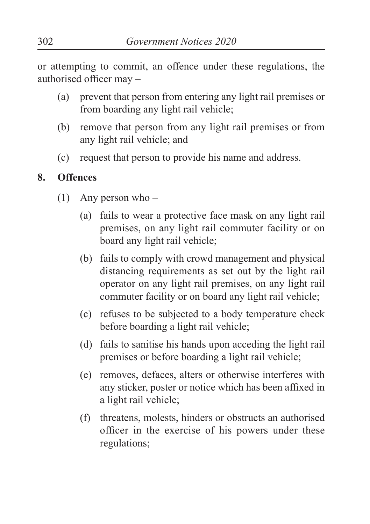or attempting to commit, an offence under these regulations, the authorised officer may –

- (a) prevent that person from entering any light rail premises or from boarding any light rail vehicle;
- (b) remove that person from any light rail premises or from any light rail vehicle; and
- (c) request that person to provide his name and address.

#### **8. Offences**

- (1) Any person who
	- (a) fails to wear a protective face mask on any light rail premises, on any light rail commuter facility or on board any light rail vehicle;
	- (b) fails to comply with crowd management and physical distancing requirements as set out by the light rail operator on any light rail premises, on any light rail commuter facility or on board any light rail vehicle;
	- (c) refuses to be subjected to a body temperature check before boarding a light rail vehicle;
	- (d) fails to sanitise his hands upon acceding the light rail premises or before boarding a light rail vehicle;
	- (e) removes, defaces, alters or otherwise interferes with any sticker, poster or notice which has been affixed in a light rail vehicle;
	- (f) threatens, molests, hinders or obstructs an authorised officer in the exercise of his powers under these regulations;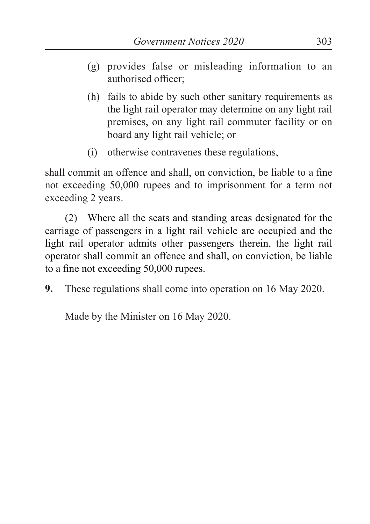- (g) provides false or misleading information to an authorised officer;
- (h) fails to abide by such other sanitary requirements as the light rail operator may determine on any light rail premises, on any light rail commuter facility or on board any light rail vehicle; or
- (i) otherwise contravenes these regulations,

shall commit an offence and shall, on conviction, be liable to a fine not exceeding 50,000 rupees and to imprisonment for a term not exceeding 2 years.

(2) Where all the seats and standing areas designated for the carriage of passengers in a light rail vehicle are occupied and the light rail operator admits other passengers therein, the light rail operator shall commit an offence and shall, on conviction, be liable to a fine not exceeding 50,000 rupees.

**9.** These regulations shall come into operation on 16 May 2020.

Made by the Minister on 16 May 2020.